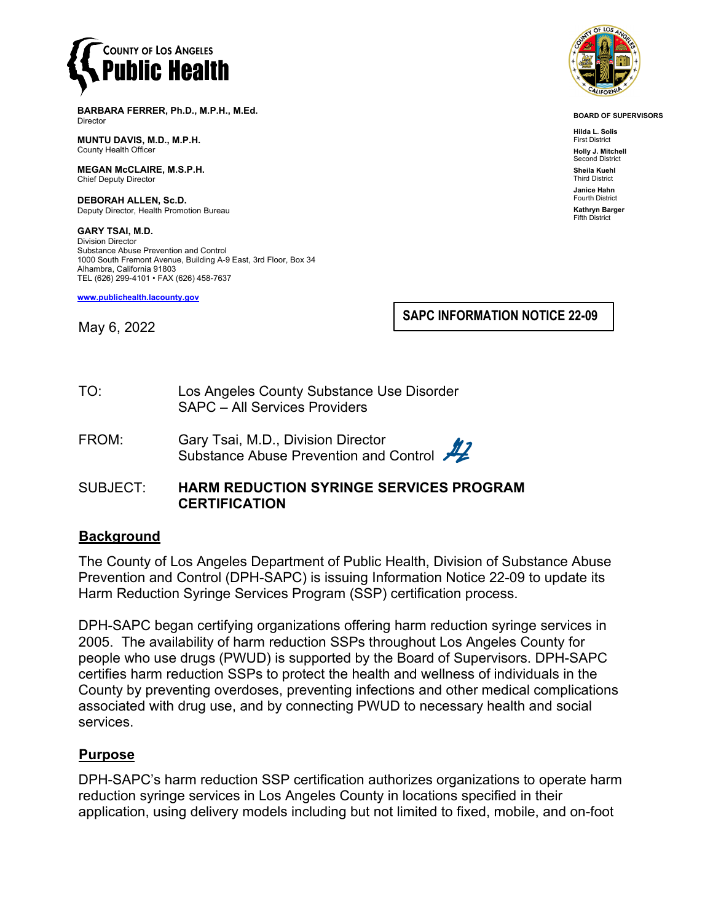

**BARBARA FERRER, Ph.D., M.P.H., M.Ed.** Director

**MUNTU DAVIS, M.D., M.P.H.** County Health Officer

**MEGAN McCLAIRE, M.S.P.H.** Chief Deputy Director

**DEBORAH ALLEN, Sc.D.** Deputy Director, Health Promotion Bureau

**GARY TSAI, M.D.** Division Director Substance Abuse Prevention and Control 1000 South Fremont Avenue, Building A-9 East, 3rd Floor, Box 34 Alhambra, California 91803 TEL (626) 299-4101 • FAX (626) 458-7637

**[www.publichealth.lacounty.gov](http://www.publichealth.lacounty.gov/)**

**SAPC INFORMATION NOTICE 22-09**

May 6, 2022

TO: Los Angeles County Substance Use Disorder SAPC – All Services Providers

- FROM: Gary Tsai, M.D., Division Director Substance Abuse Prevention and Control
- SUBJECT: **HARM REDUCTION SYRINGE SERVICES PROGRAM CERTIFICATION**

### **Background**

The County of Los Angeles Department of Public Health, Division of Substance Abuse Prevention and Control (DPH-SAPC) is issuing Information Notice 22-09 to update its Harm Reduction Syringe Services Program (SSP) certification process.

DPH-SAPC began certifying organizations offering harm reduction syringe services in 2005. The availability of harm reduction SSPs throughout Los Angeles County for people who use drugs (PWUD) is supported by the Board of Supervisors. DPH-SAPC certifies harm reduction SSPs to protect the health and wellness of individuals in the County by preventing overdoses, preventing infections and other medical complications associated with drug use, and by connecting PWUD to necessary health and social services.

### **Purpose**

DPH-SAPC's harm reduction SSP certification authorizes organizations to operate harm reduction syringe services in Los Angeles County in locations specified in their application, using delivery models including but not limited to fixed, mobile, and on-foot



**BOARD OF SUPERVISORS**

**Hilda L. Solis** First District **Holly J. Mitchell** nd District **Sheila Kuehl** Third District **Janice Hahn** Fourth District **Kathryn Barger** Fifth District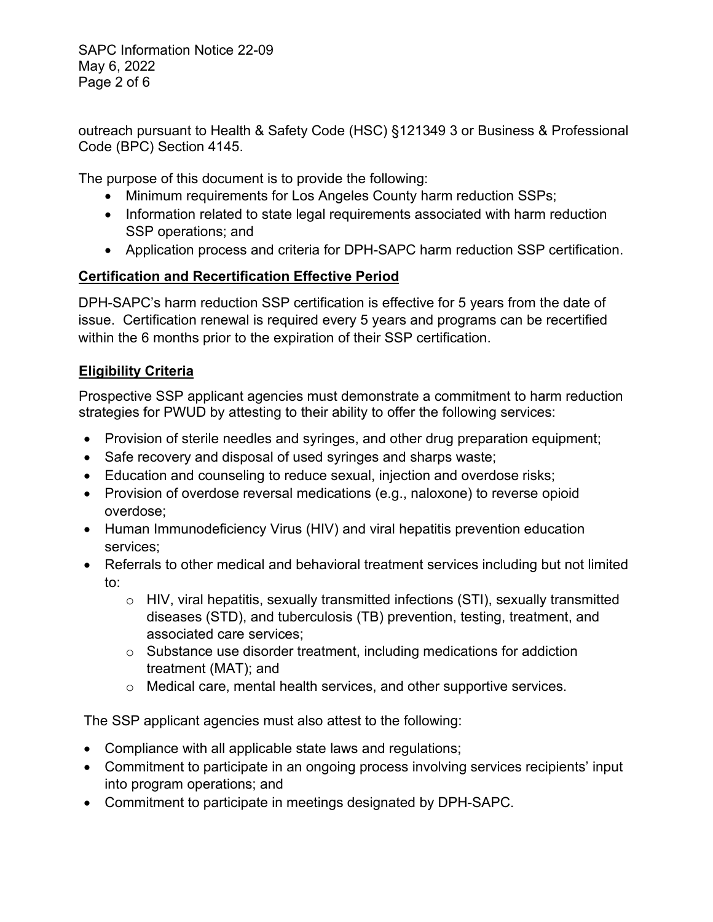SAPC Information Notice 22-09 May 6, 2022 Page 2 of 6

outreach pursuant to Health & Safety Code (HSC) §121349 3 or Business & Professional Code (BPC) Section 4145.

The purpose of this document is to provide the following:

- Minimum requirements for Los Angeles County harm reduction SSPs;
- Information related to state legal requirements associated with harm reduction SSP operations; and
- Application process and criteria for DPH-SAPC harm reduction SSP certification.

# **Certification and Recertification Effective Period**

DPH-SAPC's harm reduction SSP certification is effective for 5 years from the date of issue. Certification renewal is required every 5 years and programs can be recertified within the 6 months prior to the expiration of their SSP certification.

# **Eligibility Criteria**

Prospective SSP applicant agencies must demonstrate a commitment to harm reduction strategies for PWUD by attesting to their ability to offer the following services:

- Provision of sterile needles and syringes, and other drug preparation equipment;
- Safe recovery and disposal of used syringes and sharps waste;
- Education and counseling to reduce sexual, injection and overdose risks;
- Provision of overdose reversal medications (e.g., naloxone) to reverse opioid overdose;
- Human Immunodeficiency Virus (HIV) and viral hepatitis prevention education services;
- Referrals to other medical and behavioral treatment services including but not limited to:
	- $\circ$  HIV, viral hepatitis, sexually transmitted infections (STI), sexually transmitted diseases (STD), and tuberculosis (TB) prevention, testing, treatment, and associated care services;
	- o Substance use disorder treatment, including medications for addiction treatment (MAT); and
	- o Medical care, mental health services, and other supportive services.

The SSP applicant agencies must also attest to the following:

- Compliance with all applicable state laws and regulations;
- Commitment to participate in an ongoing process involving services recipients' input into program operations; and
- Commitment to participate in meetings designated by DPH-SAPC.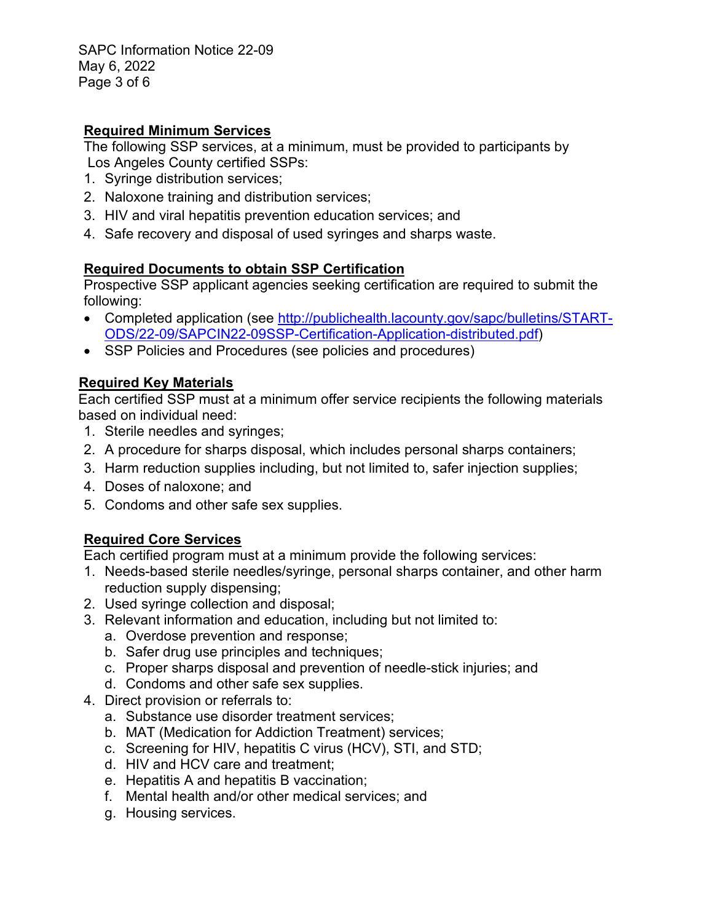SAPC Information Notice 22-09 May 6, 2022 Page 3 of 6

#### **Required Minimum Services**

The following SSP services, at a minimum, must be provided to participants by Los Angeles County certified SSPs:

- 1. Syringe distribution services;
- 2. Naloxone training and distribution services;
- 3. HIV and viral hepatitis prevention education services; and
- 4. Safe recovery and disposal of used syringes and sharps waste.

### **Required Documents to obtain SSP Certification**

Prospective SSP applicant agencies seeking certification are required to submit the following:

- Completed application (see [http://publichealth.lacounty.gov/sapc/bulletins/START-](http://publichealth.lacounty.gov/sapc/bulletins/START-ODS/22-09/SAPCIN22-09SSP-Certification-Application-distributed.pdf)[ODS/22-09/SAPCIN22-09SSP-Certification-Application-distributed.pdf\)](http://publichealth.lacounty.gov/sapc/bulletins/START-ODS/22-09/SAPCIN22-09SSP-Certification-Application-distributed.pdf)
- SSP Policies and Procedures (see policies and procedures)

### **Required Key Materials**

Each certified SSP must at a minimum offer service recipients the following materials based on individual need:

- 1. Sterile needles and syringes;
- 2. A procedure for sharps disposal, which includes personal sharps containers;
- 3. Harm reduction supplies including, but not limited to, safer injection supplies;
- 4. Doses of naloxone; and
- 5. Condoms and other safe sex supplies.

### **Required Core Services**

Each certified program must at a minimum provide the following services:

- 1. Needs-based sterile needles/syringe, personal sharps container, and other harm reduction supply dispensing;
- 2. Used syringe collection and disposal;
- 3. Relevant information and education, including but not limited to:
	- a. Overdose prevention and response;
	- b. Safer drug use principles and techniques;
	- c. Proper sharps disposal and prevention of needle-stick injuries; and
	- d. Condoms and other safe sex supplies.
- 4. Direct provision or referrals to:
	- a. Substance use disorder treatment services;
	- b. MAT (Medication for Addiction Treatment) services;
	- c. Screening for HIV, hepatitis C virus (HCV), STI, and STD;
	- d. HIV and HCV care and treatment;
	- e. Hepatitis A and hepatitis B vaccination;
	- f. Mental health and/or other medical services; and
	- g. Housing services.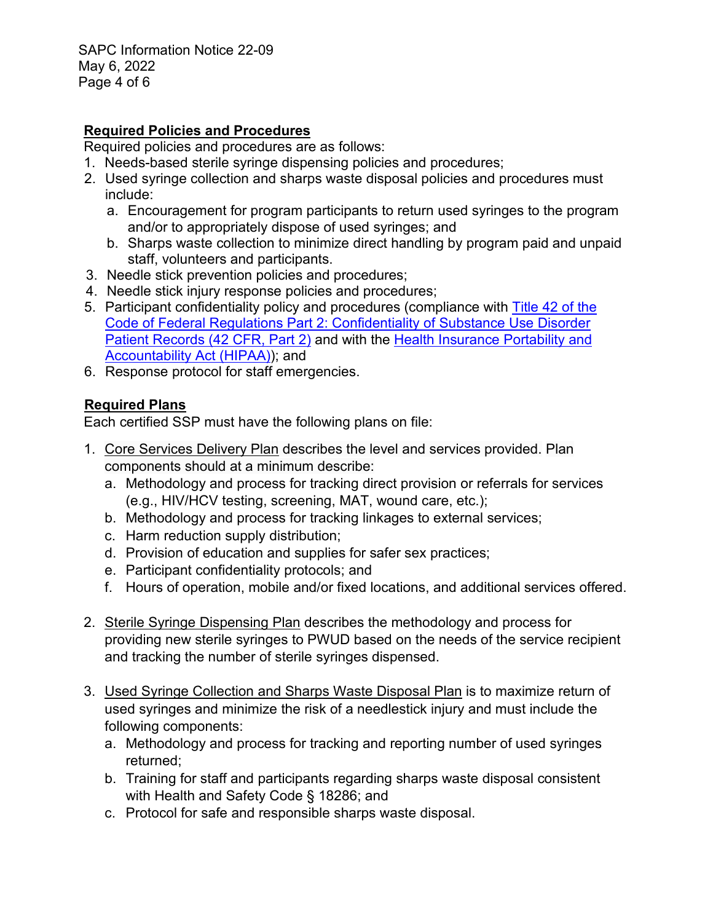SAPC Information Notice 22-09 May 6, 2022 Page 4 of 6

### **Required Policies and Procedures**

Required policies and procedures are as follows:

- 1. Needs-based sterile syringe dispensing policies and procedures;
- 2. Used syringe collection and sharps waste disposal policies and procedures must include:
	- a. Encouragement for program participants to return used syringes to the program and/or to appropriately dispose of used syringes; and
	- b. Sharps waste collection to minimize direct handling by program paid and unpaid staff, volunteers and participants.
- 3. Needle stick prevention policies and procedures;
- 4. Needle stick injury response policies and procedures;
- 5. Participant confidentiality policy and procedures (compliance with [Title 42 of the](http://www.ecfr.gov/current/title-42/chapter-I/subchapter-A/part-2)  [Code of Federal Regulations Part 2: Confidentiality of Substance Use Disorder](http://www.ecfr.gov/current/title-42/chapter-I/subchapter-A/part-2)  [Patient Records \(42 CFR, Part 2\)](http://www.ecfr.gov/current/title-42/chapter-I/subchapter-A/part-2) and with the [Health Insurance Portability and](http://www.chhs.ca.gov/ohii/shipm)  [Accountability Act \(HIPAA\)\)](http://www.chhs.ca.gov/ohii/shipm); and
- 6. Response protocol for staff emergencies.

### **Required Plans**

Each certified SSP must have the following plans on file:

- 1. Core Services Delivery Plan describes the level and services provided. Plan components should at a minimum describe:
	- a. Methodology and process for tracking direct provision or referrals for services (e.g., HIV/HCV testing, screening, MAT, wound care, etc.);
	- b. Methodology and process for tracking linkages to external services;
	- c. Harm reduction supply distribution;
	- d. Provision of education and supplies for safer sex practices;
	- e. Participant confidentiality protocols; and
	- f. Hours of operation, mobile and/or fixed locations, and additional services offered.
- 2. Sterile Syringe Dispensing Plan describes the methodology and process for providing new sterile syringes to PWUD based on the needs of the service recipient and tracking the number of sterile syringes dispensed.
- 3. Used Syringe Collection and Sharps Waste Disposal Plan is to maximize return of used syringes and minimize the risk of a needlestick injury and must include the following components:
	- a. Methodology and process for tracking and reporting number of used syringes returned;
	- b. Training for staff and participants regarding sharps waste disposal consistent with Health and Safety Code § 18286; and
	- c. Protocol for safe and responsible sharps waste disposal.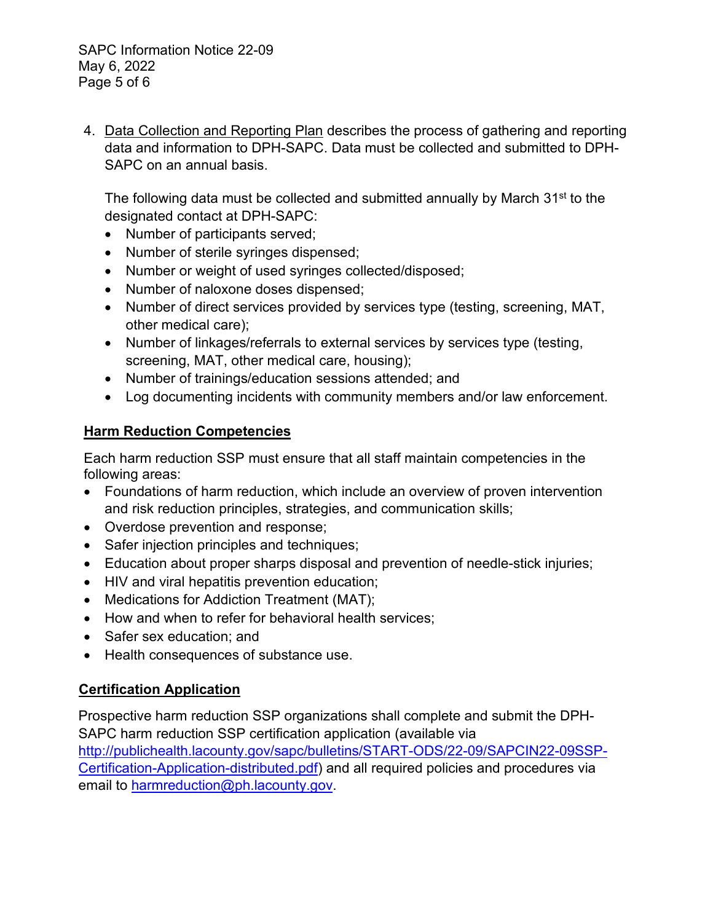4. Data Collection and Reporting Plan describes the process of gathering and reporting data and information to DPH-SAPC. Data must be collected and submitted to DPH-SAPC on an annual basis.

The following data must be collected and submitted annually by March 31<sup>st</sup> to the designated contact at DPH-SAPC:

- Number of participants served;
- Number of sterile syringes dispensed;
- Number or weight of used syringes collected/disposed;
- Number of naloxone doses dispensed;
- Number of direct services provided by services type (testing, screening, MAT, other medical care);
- Number of linkages/referrals to external services by services type (testing, screening, MAT, other medical care, housing);
- Number of trainings/education sessions attended; and
- Log documenting incidents with community members and/or law enforcement.

## **Harm Reduction Competencies**

Each harm reduction SSP must ensure that all staff maintain competencies in the following areas:

- Foundations of harm reduction, which include an overview of proven intervention and risk reduction principles, strategies, and communication skills;
- Overdose prevention and response;
- Safer injection principles and techniques;
- Education about proper sharps disposal and prevention of needle-stick injuries;
- HIV and viral hepatitis prevention education;
- Medications for Addiction Treatment (MAT);
- How and when to refer for behavioral health services;
- Safer sex education; and
- Health consequences of substance use.

## **Certification Application**

Prospective harm reduction SSP organizations shall complete and submit the DPH-SAPC harm reduction SSP certification application (available via [http://publichealth.lacounty.gov/sapc/bulletins/START-ODS/22-09/SAPCIN22-09SSP-](http://publichealth.lacounty.gov/sapc/bulletins/START-ODS/22-09/SAPCIN22-09SSP-Certification-Application-distributed.pdf)[Certification-Application-distributed.pdf\)](http://publichealth.lacounty.gov/sapc/bulletins/START-ODS/22-09/SAPCIN22-09SSP-Certification-Application-distributed.pdf) and all required policies and procedures via email to [harmreduction@ph.lacounty.gov.](mailto:harmreduction@ph.lacounty.gov)